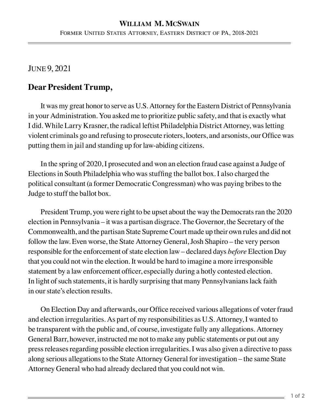## **William M. McSwain** Former United States Attorney, Eastern District of PA, 2018-2021

## June 9, 2021

## **Dear President Trump,**

It was my great honor to serve as U.S. Attorney for the Eastern District of Pennsylvania in your Administration. You asked me to prioritize public safety, and that is exactly what I did. While Larry Krasner, the radical leftist Philadelphia District Attorney, was letting violent criminals go and refusing to prosecute rioters, looters, and arsonists, our Office was putting them in jail and standing up for law-abiding citizens.

In the spring of 2020, I prosecuted and won an election fraud case against a Judge of Elections in South Philadelphia who was stuffing the ballot box. I also charged the political consultant (a former Democratic Congressman) who was paying bribes to the Judge to stuff the ballot box.

President Trump, you were right to be upset about the way the Democrats ran the 2020 election in Pennsylvania – it was a partisan disgrace. The Governor, the Secretary of the Commonwealth, and the partisan State Supreme Court made up their own rules and did not follow the law. Even worse, the State Attorney General, Josh Shapiro – the very person responsible for the enforcement of state election law – declared days *before* Election Day that you could not win the election. It would be hard to imagine a more irresponsible statement by a law enforcement officer, especially during a hotly contested election. In light of such statements, it is hardly surprising that many Pennsylvanians lack faith in our state's election results.

On Election Day and afterwards, our Office received various allegations of voter fraud and election irregularities. As part of my responsibilities as U.S. Attorney, I wanted to be transparent with the public and, of course, investigate fully any allegations. Attorney General Barr, however, instructed me not to make any public statements or put out any press releases regarding possible election irregularities. I was also given a directive to pass along serious allegations to the State Attorney General for investigation – the same State Attorney General who had already declared that you could not win.